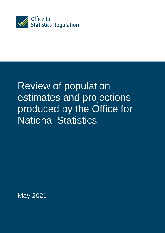

# Review of population estimates and projections produced by the Office for National Statistics

May 2021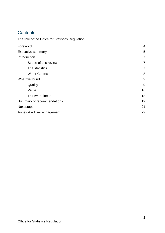# **Contents**

The role of the Office for Statistics Regulation

| Foreword                   | 4              |
|----------------------------|----------------|
| <b>Executive summary</b>   | 5              |
| Introduction               | $\overline{7}$ |
| Scope of this review       | $\overline{7}$ |
| The statistics             | 7              |
| <b>Wider Context</b>       | 8              |
| What we found              | 9              |
| Quality                    | 9              |
| Value                      | 16             |
| <b>Trustworthiness</b>     | 18             |
| Summary of recommendations | 19             |
| Next steps                 | 21             |
| Annex A - User engagement  | 22             |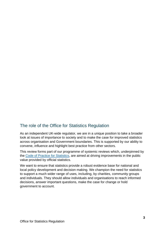### The role of the Office for Statistics Regulation

As an independent UK-wide regulator, we are in a unique position to take a broader look at issues of importance to society and to make the case for improved statistics across organisation and Government boundaries. This is supported by our ability to convene, influence and highlight best practice from other sectors.

This review forms part of our programme of systemic reviews which, underpinned by the Code of Practice for Statistics, are aimed at driving improvements in the public value provided by official statistics.

We want to ensure that statistics provide a robust evidence base for national and local policy development and decision making. We champion the need for statistics to support a much wider range of uses, including, by charities, community groups and individuals. They should allow individuals and organisations to reach informed decisions, answer important questions, make the case for change or hold government to account.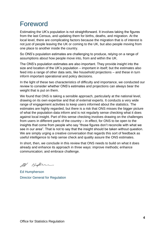# Foreword

Estimating the UK's population is not straightforward. It involves taking the figures from the last Census, and updating them for births, deaths, and migration. At the local level, there are complicating factors because the migration that is of interest is not just of people leaving the UK or coming to the UK, but also people moving from one place to another inside the country.

So ONS's population estimates are challenging to produce, relying on a range of assumptions about how people move into, from and within the UK.

The ONS's population estimates are also important. They provide insight into the size and location of the UK's population – important in itself; but the estimates also feed into a range of other data sets, like household projections – and these in turn inform important operational and policy decisions.

In the light of these two characteristics of difficulty and importance, we conducted our review to consider whether ONS's estimates and projections can always bear the weight that is put on them.

We found that ONS is taking a sensible approach, particularly at the national level, drawing on its own expertise and that of external experts. It conducts a very wide range of engagement activities to keep users informed about the statistics. The estimates are highly regarded, but there is a risk that ONS misses the bigger picture of what the population data inform and is not regularly sense checking what it does against local insight. Part of this sense checking involves drawing on the challenges from users in different parts of the country – in effect, for ONS to be open to the insights that come from people who say "those figures don't reconcile with what we see in our area". That is not to say that the insight should be taken without question. We are simply urging a creative conversation that regards this sort of feedback as useful intelligence to help sense check and quality assure the ONS estimates.

In short, then, we conclude in this review that ONS needs to build on what it does already and enhance its approach in three ways: improve methods; enhance communication; and embrace challenge.

21 Hylen

Ed Humpherson Director General for Regulation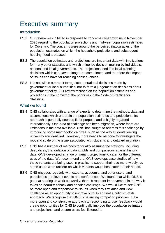# Executive summary

#### **Introduction**

- ES.1 Our review was initiated in response to concerns raised with us in November 2020 regarding the population projections and mid-year population estimates for Coventry. The concerns were around the perceived inaccuracies of the population estimates on which the household projections and subsequent housing need are based.
- ES.2 The population estimates and projections are important data with implications for many other statistics and which influence decision making by individuals, national and local governments. The projections feed into local planning decisions which can have a long-term commitment and therefore the impact of issues can have far reaching consequences.
- ES.3 It is not within our remit to regulate operational decisions made by government or local authorities, nor to form a judgement on decisions about government policy. Our review focused on the population estimates and projections in the context of the principles in the Code of Practice for Statistics.

#### What we found

- ES.4 ONS collaborates with a range of experts to determine the methods, data and assumptions which underpin the population estimates and projections. Its approach is generally seen as fit for purpose and is highly regarded internationally. One area of challenge has been migration, where there are limitations in the data available. ONS has sought to address this challenge by introducing some methodological fixes, such as the way students leaving university are identified. However, more needs to be done to investigate the root and scale of the issue associated with students and outward migration.
- ES.5 ONS has a number of methods for quality assuring the statistics, including deep dives, triangulation of data it holds and comparisons against historic data. ONS developed a range of variant projections to cater for the different uses of the data. We recommend that ONS develops case studies of how these variants are being used in practice to support their use more widely, as some users were unclear on which variants would best cater to their needs.
- ES.6 ONS engages regularly with experts, academia, and other users, and participates in relevant events and conferences. We found that while ONS is good at sharing its work outwardly, there is room for improvement in the way it takes on board feedback and handles challenge. We would like to see ONS be more open and responsive to issues when they first arise and view challenge as an opportunity to improve outputs and not a criticism of its approach. We recognise that ONS is balancing competing priorities, but a more open and constructive approach to responding to user feedback would create opportunities for ONS to continually improve the population estimates and projections, and ensure users feel listened to.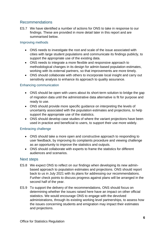#### Recommendations

ES.7 We have identified a number of actions for ONS to take in response to our findings. These are provided in more detail later in this report and are summarised below.

#### Improving methods

- ONS needs to investigate the root and scale of the issue associated with cities with large student populations and communicate its findings publicly, to support the appropriate use of the existing data.
- ONS needs to integrate a more flexible and responsive approach to methodological changes in its design for admin-based population estimates, working with its external partners, so that improvements are more timely.
- ONS should collaborate with others to incorporate local insight and carry out sensitivity analysis to enhance its approach to quality assurance.

#### Enhancing communication

- ONS should be open with users about its short-term solution to bridge the gap of migration data until the administrative data alternative is fit for purpose and ready to use.
- ONS should provide more specific guidance on interpreting the levels of uncertainty associated with the population estimates and projections, to help support the appropriate use of the statistics.
- ONS should develop case studies of where the variant projections have been used in practice and beneficial to users, to support their use more widely.

#### Embracing challenge

- ONS should take a more open and constructive approach to responding to user feedback, by improving its complaints procedure and viewing challenge as an opportunity to improve the statistics and outputs.
- ONS should collaborate with experts to frame the statistics for different audiences and scenarios.

#### Next steps

- ES.8 We expect ONS to reflect on our findings when developing its new adminbased approach to population estimates and projections. ONS should report back to us in July 2021 with its plans for addressing our recommendations. Further check points to discuss progress against plans will be arranged in the second half of the year.
- ES.9 To support the delivery of the recommendations, ONS should focus on determining whether the issues raised here have an impact on other official statistics. We would encourage ONS to engage with the devolved administrations, through its existing working level partnerships, to assess how the issues concerning students and emigration may impact their estimates and projections.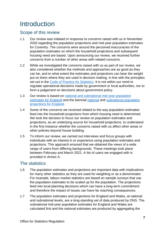# Introduction

### Scope of this review

- 1.1 Our review was initiated in response to concerns raised with us in November 2020 regarding the population projections and mid-year population estimates for Coventry. The concerns were around the perceived inaccuracies of the population estimates on which the household projections and subsequent housing need are based. Upon announcing our review, we received further concerns from a number of other areas with related concerns.
- 1.2 While we investigated the concerns raised with us as part of our review, we also considered whether the methods and approaches are as good as they can be, and to what extent the estimates and projections can bear the weight put on them where they are used in decision making, in line with the principles set out in the Code of Practice for Statistics. It is not within our remit to regulate operational decisions made by government or local authorities, nor to form a judgement on decisions about government policy.
- 1.3 Our review is based on national and subnational mid-year population estimates for England and the biennial national and subnational population projections for England.
- 1.4 Some of the concerns we received related to the way population estimates feed into the household projections from which housing need is determined. We took the decision to focus our review on population estimates and projections, as an underlying source for household projections, to understand in the first instance whether the concerns raised with us affect other areas or other policies beyond house building.
- 1.5 To inform our review, we carried out interviews and focus groups with individuals with an interest in or experience using population estimates and projections. This approach ensured that we obtained the views of a wide range of users from differing backgrounds. These meetings took place between February and March 2021. A list of users we engaged with is provided in Annex A.

### The statistics

- 1.6 The population estimates and projections are important data with implications for many other statistics as they are used for weighting or as a denominator. For example, labour market statistics are based on sample surveys that use the population estimates to be scaled up for the population. The projections feed into local planning decisions which can have a long-term commitment and therefore the impact of issues can have far reaching consequences.
- 1.7 The population estimates and projections for England and Wales, at national and subnational levels, are a long-standing set of data produced by ONS. The subnational mid-year population estimates for England and Wales are calculated first and the national estimates are produced by aggregating the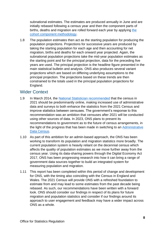subnational estimates. The estimates are produced annually in June and are initially rebased following a census year and then the component parts of births, deaths and migration are rolled forward each year by applying the cohort component methodology.

1.8 The population estimates then act as the starting population for producing the population projections. Projections for successive years are produced by taking the starting population for each age and then accounting for net migration, births and deaths for each onward year projected. Again, the subnational population projections take the mid-year population estimates as the starting point and for the principal projection, data for the preceding five years are used. The principal projection is the headline figure presented in the main statistical bulletin and analysis. ONS also produces several variant projections which are based on differing underlying assumptions to the principal projection. The projections based on these trends are then constrained to the totals used in the principal population projections for England.

### Wider Context

- 1.9 In March 2014, the National Statistician recommended that the census in 2021 should be predominantly online, making increased use of administrative data and surveys to both enhance the statistics from the 2021 Census and improve statistics between censuses. The government's response to this recommendation was an ambition that censuses after 2021 will be conducted using other sources of data. In 2023, ONS plans to present its recommendations to government as to the future of census arrangements, in the light of the progress that has been made in switching to an Administrative Data Census.
- 1.10 As part of this ambition for an admin-based approach, the ONS has been working to transform its population and migration statistics more broadly. The current population system is heavily reliant on the decennial census which affects the quality of population estimates as we move further away from the census year. Using its data-sharing powers through the Digital Economy Act 2017, ONS has been progressing research into how it can bring a range of government data sources together to build an integrated system for measuring population and migration.
- 1.11 This report has been completed within this period of change and development for ONS, with the timing also coinciding with the Census in England and Wales. The 2021 Census will provide ONS with a refreshed foundation to estimate from and may lead to some estimates from the past decade being rebased. As such, our recommendations have been written with a forward look. ONS should consider our findings in respect of its plans for future migration and population statistics and consider if our findings around its approach to user engagement and feedback may have a wider impact across ONS as a whole.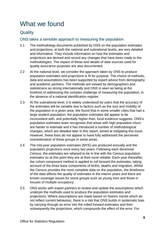# What we found

## **Quality**

#### ONS takes a sensible approach to measuring the population

- 2.1 The methodology documents published by ONS on the population estimates and projections, at both the national and subnational levels, are very detailed and informative. They include information on how the estimates and projections are derived and record any changes that have been made to the methodologies. The impact of these and details of data sources used for quality assurance purposes are also documented.
- 2.2 At the national level, we consider the approach taken by ONS to produce population estimates and projections is fit for purpose. The choice of methods, data and assumptions has been supported by expert advice from demography and academic partners. The methods are viewed by demographers and statisticians as strong internationally and ONS is seen as being at the forefront of addressing the complex challenge of measuring the population, in the absence of a national identification register.
- 2.3 At the subnational level, it is widely understood by users that the accuracy of the estimates will be variable due to factors such as the size and mobility of the population in a given area. We found that in some smaller cities that had a large student population, the population estimates did appear to be inconsistent with, and potentially higher than, local evidence suggests. ONS's population estimates team recognises that areas with high population churn are harder to estimate and it has introduced a number of methodological changes, which are detailed later in this report, aimed at mitigating this issue. However, these fixes do not appear to have fully addressed the perceived overestimation of these groups in some areas.
- 2.4 The mid-year population estimates (MYE) are produced annually and the population projections once every two years. Following each decennial Census, the estimates are rebased to be in line with the Census population estimates so at this point they are at their most reliable. Each year thereafter, the cohort component method is applied to roll forward the estimates, taking account of the three base components of births, deaths and migration. Whilst the Census provides the most complete data on the population, the timeliness of the data affects the quality of estimates in the interim years and there are known coverage issues for some groups such as young men and those in houses of multiple occupancy.
- 2.5 ONS works with expert partners to review and update the assumptions which underpin the methods used to produce the population estimates and projections. Where assumptions are made based on historic trends which do not reflect current behaviour, there is a risk that ONS builds in systematic bias by carrying through an error into the rolled forward estimates and then subsequently the projections, which compounds the effect of the error. For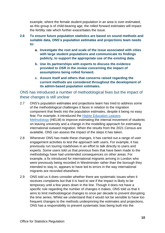example, where the female student population in an area is over-estimated, as this group is of child-bearing age, the rolled forward estimates will impact the fertility rate which further exacerbates the issue.

- **2.6 To ensure future population statistics are based on sound methods and suitable data, ONS's population estimates and projections team needs to:**
	- **a. Investigate the root and scale of the issue associated with cities with large student populations and communicate its findings publicly, to support the appropriate use of the existing data.**
	- **b. Use its partnerships with experts to discuss the evidence provided to OSR in the review concerning the impact of assumptions being rolled forward.**
	- **c. Assure itself and others that concerns raised regarding the current methods are considered throughout the development of its admin-based population estimates.**

#### ONS has introduced a number of methodological fixes but the impact of these changes is still unclear

- 2.7 ONS's population estimates and projections team has tried to address some of the methodological challenges it faces in relation to the migration component that feeds into the population estimates, despite it being no easy feat. For example, it introduced the Higher Education Leavers Methodology (HELM) to improve estimating the internal movement of students on leaving university and a change in the modelling approach for estimating international outward migration. When the results from the 2021 Census are available, ONS can assess the impact of the steps it has taken.
- 2.8 Whenever ONS has made these changes, it has carried out a range of user engagement activities to test the approach with users. For example, it has previously run touring roadshows in an effort to talk directly to users and experts. Some users told us that previous fixes that have been made to the methodology have had unintended consequences on other areas. For example, a fix introduced for international migrants arriving in London who were previously being recorded in Westminster rather than the borough they intended to stay in, appears to have led to errors in the way international migrants are recorded elsewhere.
- 2.9 ONS told us it does consider whether there are systematic issues when it receives complaints but that it is hard to see if the impact is likely to be temporary until a few years down in the line. Though it does not have a specific rule regarding the number of changes it makes, ONS told us that it aims to limit methodological changes to once per decade to prevent disrupting the time series. Whilst we understand that it would not be sensible to have too frequent changes to the methods underpinning the estimates and projections, ONS has a responsibility to prevent systematic bias being built into the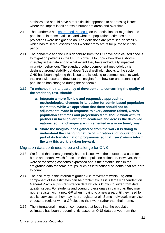statistics and should have a more flexible approach to addressing issues where the impact is felt across a number of areas and over time.

- 2.10 The pandemic has sharpened the focus on the definitions of migration and population in these statistics, and what the population estimates and projections were designed to do. The definitions are premised on stability which has raised questions about whether they are fit for purpose in this period.
- 2.11 The pandemic and the UK's departure from the EU have both caused shocks to migration patterns in the UK. It is difficult to unpick how these shocks interplay in the data and to what extent they have individually impacted migration behaviour. The standard cohort component methodology is designed around stability but doesn't deal well with shocks to the system. ONS has been exploring this issue and is looking to communicate its work in this area with users to draw out the insights from how our understanding of population has changed during the pandemic.

#### **2.12 To enhance the transparency of developments concerning the quality of the statistics, ONS should:**

- **a. Integrate a more flexible and responsive approach to methodological changes in its design for admin-based population estimates. While we appreciate that there should not be adjustments made in response to every concern raised, ONS's population estimates and projections team should work with its partners in local government, academia and across the devolved nations, so that changes are implemented in a more timely way.**
- **b. Share the insights it has gathered from the work it is doing to understand the changing nature of migration and population, as part of its transformation programme, so that users' views inform the way this work is taken forward.**

#### Migration data continues to be a challenge for ONS

- 2.13 We found that users generally had no issues with the source data used for births and deaths which feeds into the population estimates. However, there were some strong concerns expressed about the potential bias in the emigration data for some groups, such as international students, that are hard to count.
- 2.14 The accuracy in the internal migration (i.e. movement within England) component of the estimates can be problematic as it is largely dependent on General Practice (GP) registration data which is known to suffer from data quality issues. For students and young professionals in particular, they may not re-register with a new GP when moving to a new area until they need to use its services, or they may not re-register at all. Some individuals may also choose to register with a GP close to their work rather than their home.
- 2.15 The international migration component that feeds into the population estimates has been predominantly based on ONS data derived from the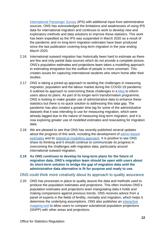International Passenger Survey (IPS) with additional input from administrative sources. ONS has acknowledged the limitations and weaknesses of using IPS data for international migration and continues to work to develop new and exploratory methods and data solutions to improve these statistics. This work has been expedited as the IPS was suspended in March 2020 as a result of the pandemic and no long-term migration estimates have been produced since the last publication covering long-term migration in the year ending March 2020.

- 2.16 International outward migration has historically been hard to estimate as there are few and only partial data sources which do not provide a complete picture. ONS's population estimates and projections team takes a modelling approach to estimating emigration but the outflow of people is more uncertain. This creates issues for capturing international students who return home after their studies.
- 2.17 ONS is taking a joined-up approach to tackling the challenges in measuring migration, population and the labour market during the COVID-19 pandemic. It outlined its approach to overcoming these challenges in a blog to inform users about its plans. As part of its longer-term transformation programme, ONS is looking to make greater use of administrative data to enhance these statistics but there is no quick solution to addressing this data gap. The pandemic has also created a greater time lag for some of the administrative datasets that it was intending to use for measuring migration, which were already lagged due to the nature of measuring long-term migration, and it is now exploring greater use of modelled estimates and nowcasting for migration data.
- 2.18 We are pleased to see that ONS has recently published several updates about the progress of this work, including the development of admin-based estimates and its statistical modelling approach. It is positive to see ONS share its thinking and it should continue to communicate its progress in overcoming the challenges with migration data, particularly around international outward migration.
- **2.19 As ONS continues to develop its long-term plans for the future of migration data, ONS's migration team should be open with users about its short-term solution to bridge the gap of migration data until the administrative data alternative is fit for purpose and ready to use.**

#### ONS could think more creatively about its approach to quality assurance

2.20 ONS has processes in place to quality assure the data and methods used to produce the population estimates and projections. This often involves ONS's population estimates and projections team triangulating data it holds and making comparisons against previous trends. ONS receives advice from a panel of experts in the fields of fertility, mortality and migration, which helps it determine the underlying assumptions. ONS also publishes an interactive mapping tool to allow users to compare subnational population projections (SNPP) with other areas and projections.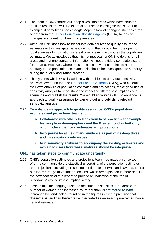- 2.21 The team in ONS carries out 'deep dives' into areas which have counter intuitive results and will use external sources to investigate the issue. For example, it sometimes uses Google Maps to look at changing street pictures or data from the **Higher Education Statistics Agency** (HESA) to look at changes in student numbers in a given area.
- 2.22 Although ONS does look to triangulate data sources to quality assure the estimates or to investigate issues, we found that it could be more open to local sources of information where it overwhelmingly disputes the population estimates. We acknowledge that it is not practical for ONS to do this for all areas and that one source of information will not provide a complete picture for an area. However, where substantial local evidence points to a trend contrary to the population estimates, this should be investigated as a priority during the quality assurance process.
- 2.23 The systems which ONS is working with enable it to carry out sensitivity analysis. We found that the Greater London Authority (GLA), who conduct their own analysis of population estimates and projections, make good use of sensitivity analysis to understand the impact of different assumptions and scenarios and publish the results. We would encourage ONS to enhance its approach to quality assurance by carrying out and publishing relevant sensitivity analysis.
- **2.24 To enhance its approach to quality assurance, ONS's population estimates and projections team should:**
	- **a. Collaborate with others to learn from best practice – for example learning from demographers and the Greater London Authority who produce their own estimates and projections.**
	- **b. Incorporate local insight and evidence as part of its deep dives and investigations into issues.**
	- **c. Run sensitivity analyses to accompany the existing estimates and explain to users how these analyses should be interpreted.**

#### ONS has taken steps to communicate uncertainty

- 2.25 ONS's population estimates and projections team has made a concerted effort to communicate the statistical uncertainty of the population estimates and projections, including presenting confidence intervals and caveats. It also publishes a range of variant projections, which are explained in more detail in the next section of this report, to provide an indication of the 'fan of uncertainty' around its assumption setting.
- 2.26 Despite this, the language used to describe the statistics, for example 'the number of women **has** increased by' rather than 'is **estimated to have** increased by', and lack of rounding in the figures implies a precision that doesn't exist and can therefore be interpreted as an exact figure rather than a central estimate.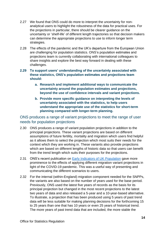- 2.27 We found that ONS could do more to interpret the uncertainty for nonanalytical users to highlight the robustness of the data for practical uses. For the projections in particular, there should be clearer guidance on the uncertainty or 'shelf-life' of different length trajectories so that decision makers can determine the appropriate projections to use to inform longer term strategies.
- 2.28 The effects of the pandemic and the UK's departure from the European Union are challenging for population statistics. ONS's population estimates and projections team is currently collaborating with international colleagues to share insights and explore the best way forward in dealing with these challenges.

#### **2.29 To support users' understanding of the uncertainty associated with these statistics, ONS's population estimates and projections team should:**

- **a. Research and implement additional ways to communicate the uncertainty around the population estimates and projections, beyond the use of confidence intervals and variant projections.**
- **b. Provide more specific guidance on interpreting the levels of uncertainty associated with the statistics, to help users understand the appropriate use of the statistics for short-term planning compared with longer-term planning.**

#### ONS produces a range of variant projections to meet the range of user needs for population projections

- 2.30 ONS produces a range of variant population projections in addition to the principial projections. These variant projections are based on different assumptions of future fertility, mortality and migration which users find helpful as it allows them to select the projection which most suits their needs for the context which they are working in. These variants also provide projections which are based on different lengths of historic data so that users can benefit from the trend length which suits their purposes for the projections.
- 2.31 ONS's recent publication on **Early Indicators of UK Population** gave more prominence to the effects of applying different migration variant projections in light of the COVID-19 pandemic. This was a useful way of presenting and communicating the different scenarios to users.
- 2.32 For the internal (within-England) migration component needed for the SNPPs, the variants are also based on the number of years used for the base period. Previously, ONS used the latest five years of records as the basis for its principal projection but changed in the most recent projections to the latest two years of data and also released a 5-year and a 10-year-based alternative. To illustrate, a projection that has been produced using 5 years of past trend data will be less suitable for making planning decisions for the forthcoming 15 to 25 years than one that has 10 years or even 25 years of historical trend. The more years of past trend data that are included, the more stable the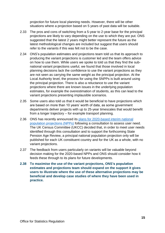projection for future local planning needs. However, there will be other situations where a projection based on 5 years of past data will be suitable.

- 2.33 The pros and cons of switching from a 5-year to 2-year base for the principal projections are likely to vary depending on the use to which they are put. ONS suggested that the latest 2 years might better represent the future as the latest methodological changes are included but suggest that users should refer to the variants if this was felt not to be the case.
- 2.34 ONS's population estimates and projections team told us that its approach to producing the variant projections is customer led and the team offers advice on how to use them. While users we spoke to told us that they find the subnational variant projections useful, we found that those involved in local planning decisions lack the confidence to use the variant projections as they are not seen as carrying the same weight as the principal projection. At the Local Authority level, the process for using the SNPPs is built around using the principal projection. There is also a reluctance to use the variant projections where there are known issues in the underlying population estimates, for example the overestimation of students, as this can lead to the variant projections presenting implausible scenarios.
- 2.35 Some users also told us that it would be beneficial to have projections which are based on more than 10 years' worth of data, as some government departments deliver projects with up to 25-year timescales that would benefit from a longer trajectory – for example transport planning.
- 2.36 ONS has recently announced its plans for 2020-based interim national population projections (NPPs) following a consultation to assess user need. The UK Census Committee (UKCC) decided that, in order to meet user needs identified through this consultation and to support the forthcoming State Pension Age Review, a principal national population projection only will be published for each UK constituent country and for the UK as a whole, with no variant projections.
- 2.37 The feedback from users particularly on variants will be valuable beyond decision making for the 2020-based NPPs and ONS should consider how it feeds these through to its plans for future developments.
- **2.38 To maximise the use of the variant projections, ONS's population estimates and projections team should expand on the support it gives users to illustrate where the use of these alternative projections may be beneficial and develop case studies of where they have been used in practice.**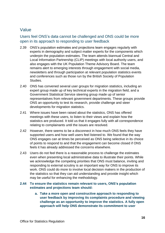### Value

### Users feel ONS's data cannot be challenged and ONS could be more open in its approach to responding to user feedback

- 2.39 ONS's population estimates and projections team engages regularly with experts in demography and subject matter experts for the components which underpin the population estimates. The team attends biannual Central and Local Information Partnership (CLIP) meetings with local authority users, and also engages with the UK Population Theme Advisory Board. The team remains alert to emerging interests through engagement with social media, newsletters and through participation at relevant population statistics events and conferences such as those run by the British Society of Population Studies.
- 2.40 ONS has convened several user groups for migration statistics, including an expert group made up of key technical experts in the migration field, and a Government Statistical Service steering group made up of senior representatives from relevant government departments. These groups provide ONS an opportunity to test its research, provide challenge and steer developments for migration statistics.
- 2.41 Where issues have been raised about the statistics, ONS has offered meetings with these users, to listen to their views and explain how the statistics are produced. It told us that it engages fully with all correspondence relating to complainants until the issues are resolved.
- 2.42 However, there seems to be a disconnect in how much ONS feels they have supported users and how well users feel listened to. We found that the way ONS engages can at times be perceived as ONS being selective in its choice of points to respond to and that the engagement can become closed if ONS feels it has already addressed the concerns elsewhere.
- 2.43 Users do not feel there is a reasonable process to challenge the estimates even when presenting local administrative data to illustrate their points. While we acknowledge the competing priorities that ONS must balance, inviting and responding to external scrutiny is an important way for ONS to improve its work. ONS could do more to involve local decision makers in the production of the statistics so that they can aid understanding and provide insight which may be useful for enhancing the methodology.

#### **2.44 To ensure the statistics remain relevant to users, ONS's population estimates and projections team should:**

**a. Take a more open and constructive approach to responding to user feedback by improving its complaints procedure and viewing challenge as an opportunity to improve the statistics. A fully open approach will help ONS demonstrate its commitment to user**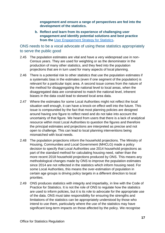**engagement and ensure a range of perspectives are fed into the development of the statistics.** 

**b. Reflect and learn from its experience of challenging user engagement and identify potential solutions and best practice from the** User Engagement Strategy for Statistics**.** 

ONS needs to be a vocal advocate of using these statistics appropriately to serve the public good

- 2.45 The population estimates are vital and have a very widespread use in non-Census years. They are used for weighting or as the denominator in the production of many other statistics, and they feed into the population projections that are in turn used for many aspects of local planning.
- 2.46 There is a potential risk to other statistics that use the population estimates if a systematic bias in the estimates (even if one segment of the population) is relevant for a particular topic area. A second issue comes from the nature of the method for disaggregating the national level to local areas, when the disaggregated data are constrained to match the national level, inherent biases in the data could lead to skewed local area data.
- 2.47 Where the estimates for some Local Authorities might not reflect the local situation well enough, it can have a knock-on effect well into the future. This issue is compounded by the fact that most planning policies are designed around having one figure to reflect need and do not take into account the uncertainty of that figure. We heard from users that there is a lack of analytical resource within most Local Authorities to question the figures and therefore the principal estimates and projections are interpreted as precise and not open to challenge. This can lead to local planning interventions being mismatched with local needs.
- 2.48 The population projections inform the household projections. The Ministry of Housing, Communities and Local Government (MHCLG) made a policy decision to specify that Local Authorities use 2014 household projections as part of the standard method for calculating housing need, rather than the more recent 2018 household projections produced by ONS. This means any methodological changes made by ONS to improve the population estimates since 2014 are not reflected in the statistics which inform housing need. For some Local Authorities, this means the over-estimation of population in certain age groups is driving policy targets in a different direction to local priorities.
- 2.49 ONS produces statistics with integrity and impartiality, in line with the Code of Practice for Statistics. It is not the role of ONS to regulate how the statistics are used to inform policies, but it is its role to advocate for the appropriate use of the data. ONS must take responsibility for ensuring the strengths and limitations of the statistics can be appropriately understood by those who intend to use them, particularly where the use of the statistics may have significant long-term impacts on those affected by the policy. We recognise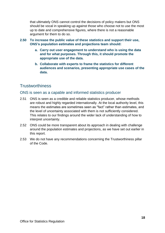that ultimately ONS cannot control the decisions of policy makers but ONS should be vocal in speaking up against those who choose not to use the most up to date and comprehensive figures, where there is not a reasonable argument for them to do so.

- **2.50 To increase the public value of these statistics and support their use, ONS's population estimates and projections team should:**
	- **a. Carry out user engagement to understand who is using the data and for what purposes. Through this, it should promote the appropriate use of the data.**
	- **b. Collaborate with experts to frame the statistics for different audiences and scenarios, presenting appropriate use cases of the data.**

### **Trustworthiness**

#### ONS is seen as a capable and informed statistics producer

- 2.51 ONS is seen as a credible and reliable statistics producer, whose methods are robust and highly regarded internationally. At the local authority level, this means the estimates are sometimes seen as "fact" rather than estimates, and the level of uncertainty associated with them is not sufficiently considered. This relates to our findings around the wider lack of understanding of how to interpret uncertainty.
- 2.52 ONS could be more transparent about its approach in dealing with challenge around the population estimates and projections, as we have set out earlier in this report.
- 2.53 We do not have any recommendations concerning the Trustworthiness pillar of the Code.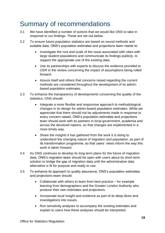# Summary of recommendations

- 3.1 We have identified a number of actions that we would like ONS to take in response to our findings. These are set out below.
- 3.2 To ensure future population statistics are based on sound methods and suitable data, ONS's population estimates and projections team needs to:
	- Investigate the root and scale of the issue associated with cities with large student populations and communicate its findings publicly, to support the appropriate use of the existing data.
	- Use its partnerships with experts to discuss the evidence provided to OSR in the review concerning the impact of assumptions being rolled forward.
	- Assure itself and others that concerns raised regarding the current methods are considered throughout the development of its adminbased population estimates.
- 3.3 To enhance the transparency of developments concerning the quality of the statistics, ONS should:
	- Integrate a more flexible and responsive approach to methodological changes in its design for admin-based population estimates. While we appreciate that there should not be adjustments made in response to every concern raised, ONS's population estimates and projections team should work with its partners in local government, academia and across the devolved nations, so that changes are implemented in a more timely way.
	- Share the insights it has gathered from the work it is doing to understand the changing nature of migration and population, as part of its transformation programme, so that users' views inform the way this work is taken forward.
- 3.4 As ONS continues to develop its long-term plans for the future of migration data, ONS's migration team should be open with users about its short-term solution to bridge the gap of migration data until the administrative data alternative is fit for purpose and ready to use.
- 3.5 To enhance its approach to quality assurance, ONS's population estimates and projections team should:
	- Collaborate with others to learn from best practice for example learning from demographers and the Greater London Authority who produce their own estimates and projections.
	- Incorporate local insight and evidence as part of its deep dives and investigations into issues.
	- Run sensitivity analyses to accompany the existing estimates and explain to users how these analyses should be interpreted.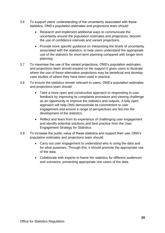- 3.6 To support users' understanding of the uncertainty associated with these statistics, ONS's population estimates and projections team should:
	- Research and implement additional ways to communicate the uncertainty around the population estimates and projections, beyond the use of confidence intervals and variant projections.
	- Provide more specific quidance on interpreting the levels of uncertainty associated with the statistics, to help users understand the appropriate use of the statistics for short-term planning compared with longer-term planning.
- 3.7 To maximise the use of the variant projections, ONS's population estimates and projections team should expand on the support it gives users to illustrate where the use of these alternative projections may be beneficial and develop case studies of where they have been used in practice.
- 3.8 To ensure the statistics remain relevant to users, ONS's population estimates and projections team should:
	- Take a more open and constructive approach to responding to user feedback by improving its complaints procedure and viewing challenge as an opportunity to improve the statistics and outputs. A fully open approach will help ONS demonstrate its commitment to user engagement and ensure a range of perspectives are fed into the development of the statistics.
	- Reflect and learn from its experience of challenging user engagement and identify potential solutions and best practice from the User Engagement Strategy for Statistics.
- 3.9 To increase the public value of these statistics and support their use, ONS's population estimates and projections team should:
	- Carry out user engagement to understand who is using the data and for what purposes. Through this, it should promote the appropriate use of the data.
	- Collaborate with experts to frame the statistics for different audiences and scenarios, presenting appropriate use cases of the data.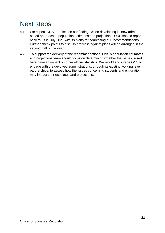# Next steps

- 4.1 We expect ONS to reflect on our findings when developing its new adminbased approach to population estimates and projections. ONS should report back to us in July 2021 with its plans for addressing our recommendations. Further check points to discuss progress against plans will be arranged in the second half of the year.
- 4.2 To support the delivery of the recommendations, ONS's population estimates and projections team should focus on determining whether the issues raised here have an impact on other official statistics. We would encourage ONS to engage with the devolved administrations, through its existing working level partnerships, to assess how the issues concerning students and emigration may impact their estimates and projections.